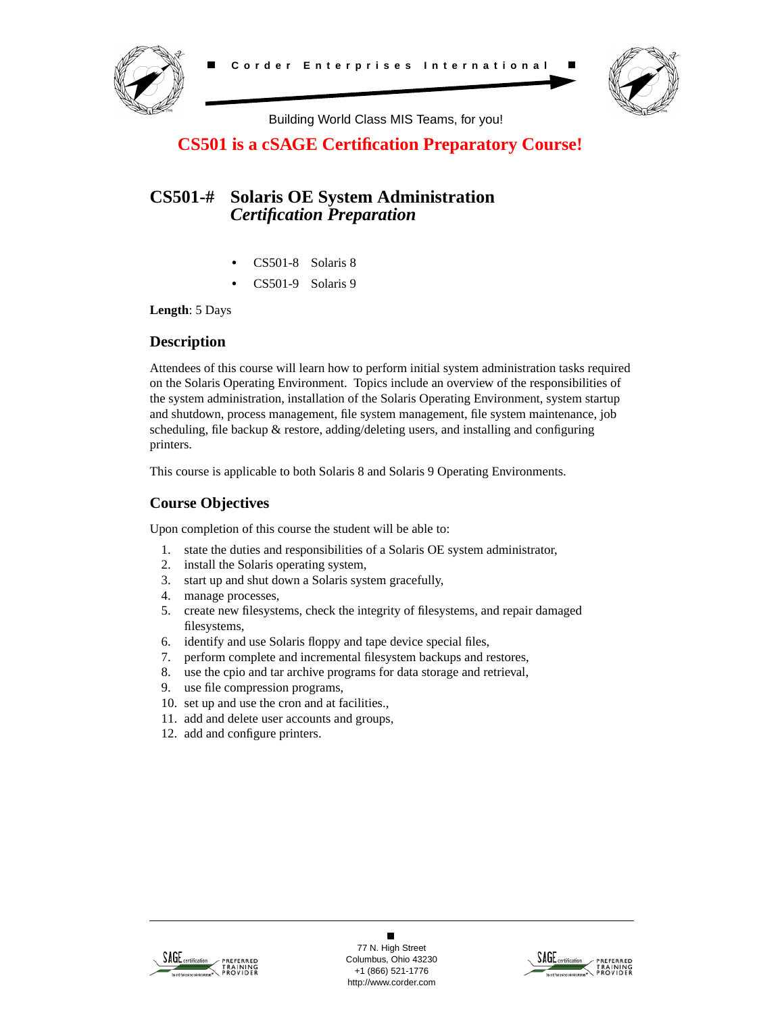



Building World Class MIS Teams, for you!

# **CS501 is a cSAGE Certification Preparatory Course!**

# **CS501-# Solaris OE System Administration** *Certification Preparation*

- **•** CS501-8 Solaris 8
- **•** CS501-9 Solaris 9

**Length**: 5 Days

## **Description**

Attendees of this course will learn how to perform initial system administration tasks required on the Solaris Operating Environment. Topics include an overview of the responsibilities of the system administration, installation of the Solaris Operating Environment, system startup and shutdown, process management, file system management, file system maintenance, job scheduling, file backup & restore, adding/deleting users, and installing and configuring printers.

This course is applicable to both Solaris 8 and Solaris 9 Operating Environments.

# **Course Objectives**

Upon completion of this course the student will be able to:

- 1. state the duties and responsibilities of a Solaris OE system administrator,
- 2. install the Solaris operating system,
- 3. start up and shut down a Solaris system gracefully,
- 4. manage processes,
- 5. create new filesystems, check the integrity of filesystems, and repair damaged filesystems,
- 6. identify and use Solaris floppy and tape device special files,
- 7. perform complete and incremental filesystem backups and restores,
- 8. use the cpio and tar archive programs for data storage and retrieval,
- 9. use file compression programs,
- 10. set up and use the cron and at facilities.,
- 11. add and delete user accounts and groups,
- 12. add and configure printers.



 $\blacksquare$ 77 N. High Street Columbus, Ohio 43230 +1 (866) 521-1776 http://www.corder.com

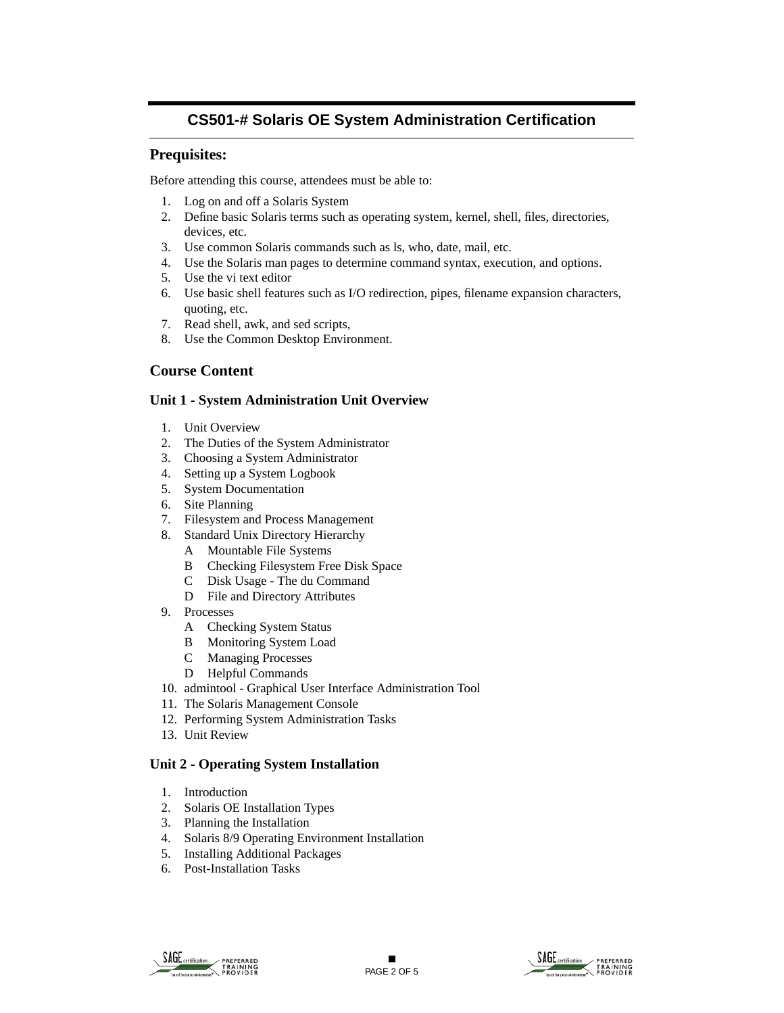## **Prequisites:**

Before attending this course, attendees must be able to:

- 1. Log on and off a Solaris System
- 2. Define basic Solaris terms such as operating system, kernel, shell, files, directories, devices, etc.
- 3. Use common Solaris commands such as ls, who, date, mail, etc.
- 4. Use the Solaris man pages to determine command syntax, execution, and options.
- 5. Use the vi text editor
- 6. Use basic shell features such as I/O redirection, pipes, filename expansion characters, quoting, etc.
- 7. Read shell, awk, and sed scripts,
- 8. Use the Common Desktop Environment.

## **Course Content**

#### **Unit 1 - System Administration Unit Overview**

- 1. Unit Overview
- 2. The Duties of the System Administrator
- 3. Choosing a System Administrator
- 4. Setting up a System Logbook
- 5. System Documentation
- 6. Site Planning
- 7. Filesystem and Process Management
- 8. Standard Unix Directory Hierarchy
	- A Mountable File Systems
	- B Checking Filesystem Free Disk Space
	- C Disk Usage The du Command
	- D File and Directory Attributes
- 9. Processes
	- A Checking System Status
	- B Monitoring System Load
	- C Managing Processes
	- D Helpful Commands
- 10. admintool Graphical User Interface Administration Tool
- 11. The Solaris Management Console
- 12. Performing System Administration Tasks
- 13. Unit Review

### **Unit 2 - Operating System Installation**

- 1. Introduction
- 2. Solaris OE Installation Types
- 3. Planning the Installation
- 4. Solaris 8/9 Operating Environment Installation
- 5. Installing Additional Packages
- 6. Post-Installation Tasks



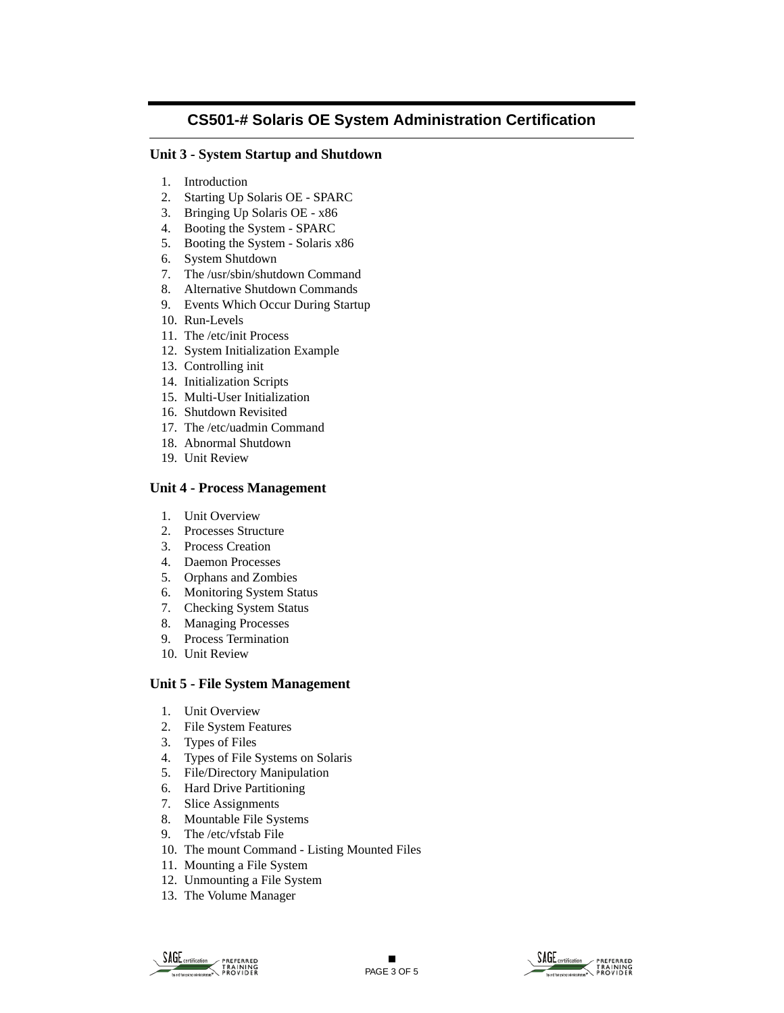### **Unit 3 - System Startup and Shutdown**

- 1. Introduction
- 2. Starting Up Solaris OE SPARC
- 3. Bringing Up Solaris OE x86
- 4. Booting the System SPARC
- 5. Booting the System Solaris x86
- 6. System Shutdown
- 7. The /usr/sbin/shutdown Command
- 8. Alternative Shutdown Commands
- 9. Events Which Occur During Startup
- 10. Run-Levels
- 11. The /etc/init Process
- 12. System Initialization Example
- 13. Controlling init
- 14. Initialization Scripts
- 15. Multi-User Initialization
- 16. Shutdown Revisited
- 17. The /etc/uadmin Command
- 18. Abnormal Shutdown
- 19. Unit Review

#### **Unit 4 - Process Management**

- 1. Unit Overview
- 2. Processes Structure
- 3. Process Creation
- 4. Daemon Processes
- 5. Orphans and Zombies
- 6. Monitoring System Status
- 7. Checking System Status
- 8. Managing Processes
- 9. Process Termination
- 10. Unit Review

#### **Unit 5 - File System Management**

- 1. Unit Overview
- 2. File System Features
- 3. Types of Files
- 4. Types of File Systems on Solaris
- 5. File/Directory Manipulation
- 6. Hard Drive Partitioning
- 7. Slice Assignments
- 8. Mountable File Systems
- 9. The /etc/vfstab File
- 10. The mount Command Listing Mounted Files
- 11. Mounting a File System
- 12. Unmounting a File System
- 13. The Volume Manager



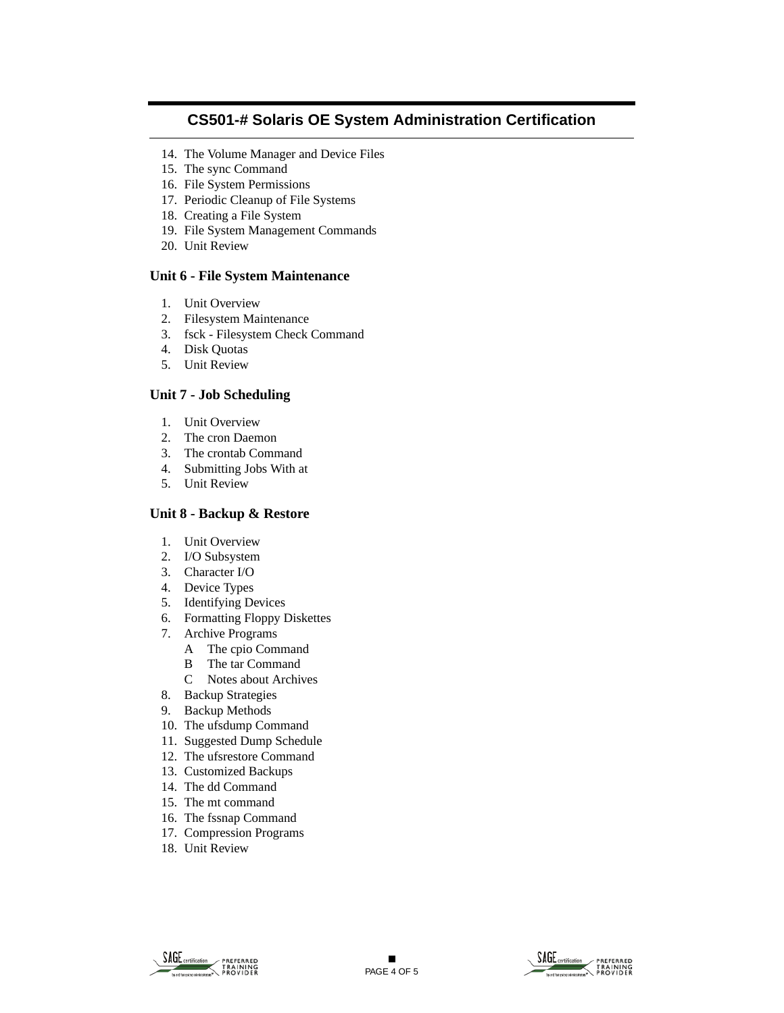- 14. The Volume Manager and Device Files
- 15. The sync Command
- 16. File System Permissions
- 17. Periodic Cleanup of File Systems
- 18. Creating a File System
- 19. File System Management Commands
- 20. Unit Review

#### **Unit 6 - File System Maintenance**

- 1. Unit Overview
- 2. Filesystem Maintenance
- 3. fsck Filesystem Check Command
- 4. Disk Quotas
- 5. Unit Review

### **Unit 7 - Job Scheduling**

- 1. Unit Overview
- 2. The cron Daemon
- 3. The crontab Command
- 4. Submitting Jobs With at
- 5. Unit Review

### **Unit 8 - Backup & Restore**

- 1. Unit Overview
- 2. I/O Subsystem
- 3. Character I/O
- 4. Device Types
- 5. Identifying Devices
- 6. Formatting Floppy Diskettes
- 7. Archive Programs
	- A The cpio Command
	- B The tar Command
	- C Notes about Archives
- 8. Backup Strategies
- 9. Backup Methods
- 10. The ufsdump Command
- 11. Suggested Dump Schedule
- 12. The ufsrestore Command
- 13. Customized Backups
- 14. The dd Command
- 15. The mt command
- 16. The fssnap Command
- 17. Compression Programs
- 18. Unit Review